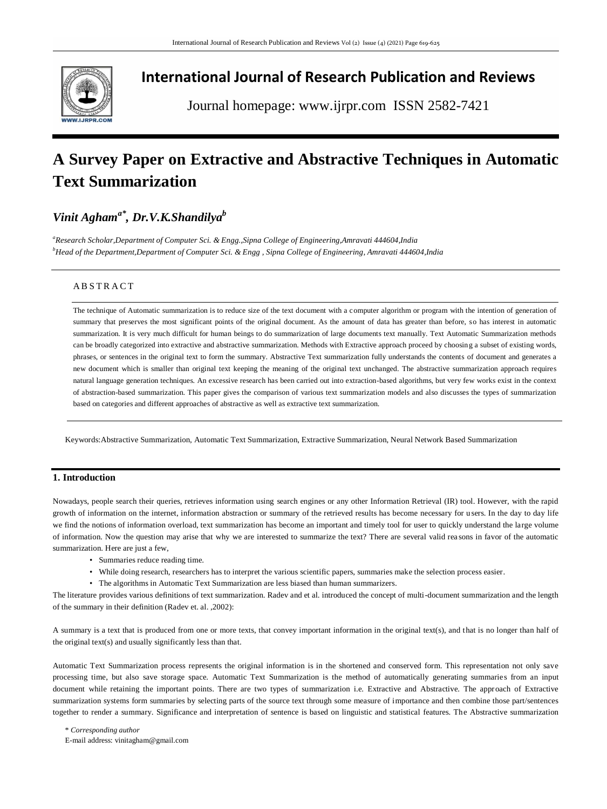

# **International Journal of Research Publication and Reviews**

Journal homepage: www.ijrpr.com ISSN 2582-7421

# **A Survey Paper on Extractive and Abstractive Techniques in Automatic Text Summarization**

# *Vinit Aghama\* , Dr.V.K.Shandilya<sup>b</sup>*

*<sup>a</sup>Research Scholar,Department of Computer Sci. & Engg.,Sipna College of Engineering,Amravati 444604,India <sup>b</sup>Head of the Department,Department of Computer Sci. & Engg , Sipna College of Engineering, Amravati 444604,India*

# A B S T R A C T

The technique of Automatic summarization is to reduce size of the text document with a computer algorithm or program with the intention of generation of summary that preserves the most significant points of the original document. As the amount of data has greater than before, so has interest in automatic summarization. It is very much difficult for human beings to do summarization of large documents text manually. Text Automatic Summarization methods can be broadly categorized into extractive and abstractive summarization. Methods with Extractive approach proceed by choosing a subset of existing words, phrases, or sentences in the original text to form the summary. Abstractive Text summarization fully understands the contents of document and generates a new document which is smaller than original text keeping the meaning of the original text unchanged. The abstractive summarization approach requires natural language generation techniques. An excessive research has been carried out into extraction-based algorithms, but very few works exist in the context of abstraction-based summarization. This paper gives the comparison of various text summarization models and also discusses the types of summarization based on categories and different approaches of abstractive as well as extractive text summarization.

Keywords:Abstractive Summarization, Automatic Text Summarization, Extractive Summarization, Neural Network Based Summarization

# **1. Introduction**

Nowadays, people search their queries, retrieves information using search engines or any other Information Retrieval (IR) tool. However, with the rapid growth of information on the internet, information abstraction or summary of the retrieved results has become necessary for u sers. In the day to day life we find the notions of information overload, text summarization has become an important and timely tool for user to quickly understand the large volume of information. Now the question may arise that why we are interested to summarize the text? There are several valid rea sons in favor of the automatic summarization. Here are just a few,

- Summaries reduce reading time.
- While doing research, researchers has to interpret the various scientific papers, summaries make the selection process easier.
- The algorithms in Automatic Text Summarization are less biased than human summarizers.

The literature provides various definitions of text summarization. Radev and et al. introduced the concept of multi-document summarization and the length of the summary in their definition (Radev et. al. ,2002):

A summary is a text that is produced from one or more texts, that convey important information in the original text(s), and that is no longer than half of the original text(s) and usually significantly less than that.

Automatic Text Summarization process represents the original information is in the shortened and conserved form. This representation not only save processing time, but also save storage space. Automatic Text Summarization is the method of automatically generating summaries from an input document while retaining the important points. There are two types of summarization i.e. Extractive and Abstractive. The approach of Extractive summarization systems form summaries by selecting parts of the source text through some measure of importance and then combine those part/sentences together to render a summary. Significance and interpretation of sentence is based on linguistic and statistical features. The Abstractive summarization

\* *Corresponding author* E-mail address: vinitagham@gmail.com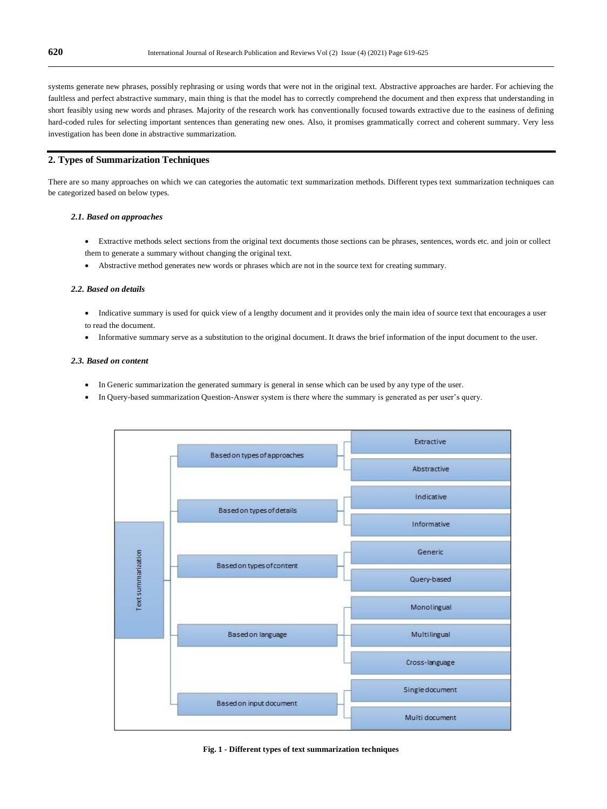systems generate new phrases, possibly rephrasing or using words that were not in the original text. Abstractive approaches are harder. For achieving the faultless and perfect abstractive summary, main thing is that the model has to correctly comprehend the document and then express that understanding in short feasibly using new words and phrases. Majority of the research work has conventionally focused towards extractive due to the easiness of defining hard-coded rules for selecting important sentences than generating new ones. Also, it promises grammatically correct and coherent summary. Very less investigation has been done in abstractive summarization.

# **2. Types of Summarization Techniques**

There are so many approaches on which we can categories the automatic text summarization methods. Different types text summarization techniques can be categorized based on below types.

#### *2.1. Based on approaches*

- Extractive methods select sections from the original text documents those sections can be phrases, sentences, words etc. and join or collect them to generate a summary without changing the original text.
- Abstractive method generates new words or phrases which are not in the source text for creating summary.

#### *2.2. Based on details*

- Indicative summary is used for quick view of a lengthy document and it provides only the main idea of source text that encourages a user to read the document.
- Informative summary serve as a substitution to the original document. It draws the brief information of the input document to the user.

#### *2.3. Based on content*

- In Generic summarization the generated summary is general in sense which can be used by any type of the user.
- In Query-based summarization Question-Answer system is there where the summary is generated as per user's query.



#### **Fig. 1 - Different types of text summarization techniques**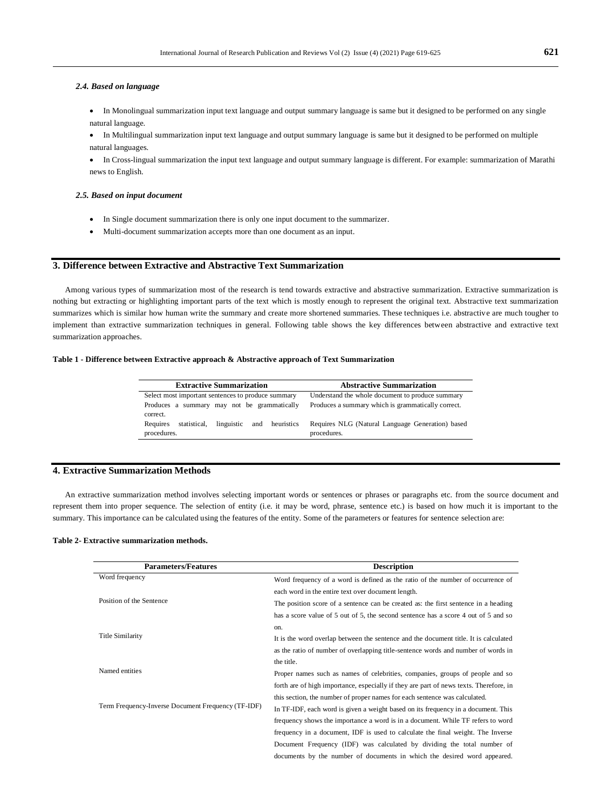## *2.4. Based on language*

- In Monolingual summarization input text language and output summary language is same but it designed to be performed on any single natural language.
- In Multilingual summarization input text language and output summary language is same but it designed to be performed on multiple natural languages.
- In Cross-lingual summarization the input text language and output summary language is different. For example: summarization of Marathi news to English.

# *2.5. Based on input document*

- In Single document summarization there is only one input document to the summarizer.
- Multi-document summarization accepts more than one document as an input.

# **3. Difference between Extractive and Abstractive Text Summarization**

Among various types of summarization most of the research is tend towards extractive and abstractive summarization. Extractive summarization is nothing but extracting or highlighting important parts of the text which is mostly enough to represent the original text. Abstractive text summarization summarizes which is similar how human write the summary and create more shortened summaries. These techniques i.e. abstractive are much tougher to implement than extractive summarization techniques in general. Following table shows the key differences between abstractive and extractive text summarization approaches.

### **Table 1 - Difference between Extractive approach & Abstractive approach of Text Summarization**

| <b>Extractive Summarization</b>                                         | <b>Abstractive Summarization</b>                                |
|-------------------------------------------------------------------------|-----------------------------------------------------------------|
| Select most important sentences to produce summary                      | Understand the whole document to produce summary                |
| Produces a summary may not be grammatically<br>correct.                 | Produces a summary which is grammatically correct.              |
| Requires<br>statistical.<br>and heuristics<br>linguistic<br>procedures. | Requires NLG (Natural Language Generation) based<br>procedures. |

# **4. Extractive Summarization Methods**

An extractive summarization method involves selecting important words or sentences or phrases or paragraphs etc. from the source document and represent them into proper sequence. The selection of entity (i.e. it may be word, phrase, sentence etc.) is based on how much it is important to the summary. This importance can be calculated using the features of the entity. Some of the parameters or features for sentence selection are:

# **Table 2- Extractive summarization methods.**

| <b>Parameters/Features</b>                         | <b>Description</b>                                                                     |
|----------------------------------------------------|----------------------------------------------------------------------------------------|
| Word frequency                                     | Word frequency of a word is defined as the ratio of the number of occurrence of        |
|                                                    | each word in the entire text over document length.                                     |
| Position of the Sentence                           | The position score of a sentence can be created as: the first sentence in a heading    |
|                                                    | has a score value of 5 out of 5, the second sentence has a score 4 out of 5 and so     |
| Title Similarity                                   | on.                                                                                    |
|                                                    | It is the word overlap between the sentence and the document title. It is calculated   |
|                                                    | as the ratio of number of overlapping title-sentence words and number of words in      |
| Named entities                                     | the title.                                                                             |
|                                                    | Proper names such as names of celebrities, companies, groups of people and so          |
|                                                    | forth are of high importance, especially if they are part of news texts. Therefore, in |
| Term Frequency-Inverse Document Frequency (TF-IDF) | this section, the number of proper names for each sentence was calculated.             |
|                                                    | In TF-IDF, each word is given a weight based on its frequency in a document. This      |
|                                                    | frequency shows the importance a word is in a document. While TF refers to word        |
|                                                    | frequency in a document, IDF is used to calculate the final weight. The Inverse        |
|                                                    | Document Frequency (IDF) was calculated by dividing the total number of                |
|                                                    | documents by the number of documents in which the desired word appeared.               |
|                                                    |                                                                                        |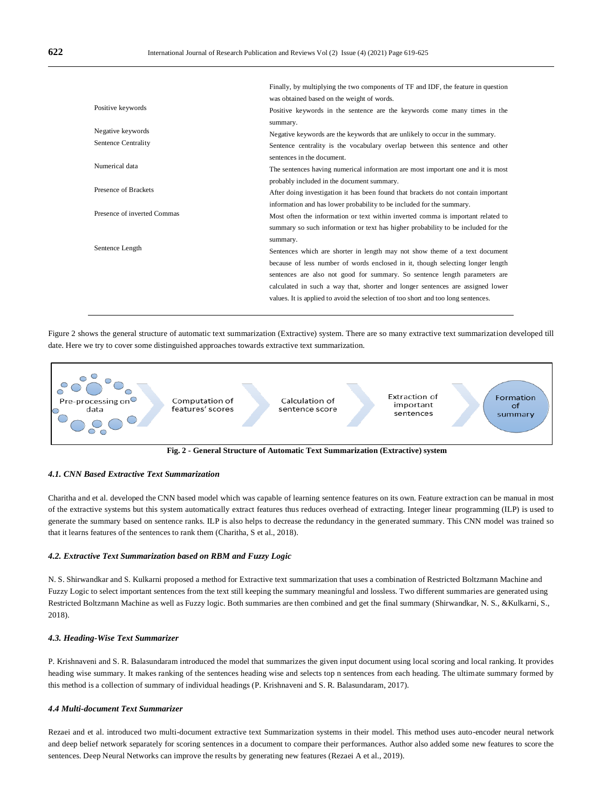|                             | Finally, by multiplying the two components of TF and IDF, the feature in question  |
|-----------------------------|------------------------------------------------------------------------------------|
| Positive keywords           | was obtained based on the weight of words.                                         |
|                             | Positive keywords in the sentence are the keywords come many times in the          |
|                             | summary.                                                                           |
| Negative keywords           | Negative keywords are the keywords that are unlikely to occur in the summary.      |
| Sentence Centrality         | Sentence centrality is the vocabulary overlap between this sentence and other      |
| Numerical data              | sentences in the document.                                                         |
|                             | The sentences having numerical information are most important one and it is most   |
| Presence of Brackets        | probably included in the document summary.                                         |
|                             | After doing investigation it has been found that brackets do not contain important |
| Presence of inverted Commas | information and has lower probability to be included for the summary.              |
|                             | Most often the information or text within inverted comma is important related to   |
| Sentence Length             | summary so such information or text has higher probability to be included for the  |
|                             | summary.                                                                           |
|                             | Sentences which are shorter in length may not show theme of a text document        |
|                             | because of less number of words enclosed in it, though selecting longer length     |
|                             | sentences are also not good for summary. So sentence length parameters are         |
|                             | calculated in such a way that, shorter and longer sentences are assigned lower     |
|                             | values. It is applied to avoid the selection of too short and too long sentences.  |
|                             |                                                                                    |

Figure 2 shows the general structure of automatic text summarization (Extractive) system. There are so many extractive text summarization developed till date. Here we try to cover some distinguished approaches towards extractive text summarization.



**Fig. 2 - General Structure of Automatic Text Summarization (Extractive) system**

# *4.1. CNN Based Extractive Text Summarization*

Charitha and et al. developed the CNN based model which was capable of learning sentence features on its own. Feature extraction can be manual in most of the extractive systems but this system automatically extract features thus reduces overhead of extracting. Integer linear programming (ILP) is used to generate the summary based on sentence ranks. ILP is also helps to decrease the redundancy in the generated summary. This CNN model was trained so that it learns features of the sentences to rank them (Charitha, S et al., 2018).

# *4.2. Extractive Text Summarization based on RBM and Fuzzy Logic*

N. S. Shirwandkar and S. Kulkarni proposed a method for Extractive text summarization that uses a combination of Restricted Boltzmann Machine and Fuzzy Logic to select important sentences from the text still keeping the summary meaningful and lossless. Two different summaries are generated using Restricted Boltzmann Machine as well as Fuzzy logic. Both summaries are then combined and get the final summary (Shirwandkar, N. S., &Kulkarni, S., 2018).

# *4.3. Heading-Wise Text Summarizer*

P. Krishnaveni and S. R. Balasundaram introduced the model that summarizes the given input document using local scoring and local ranking. It provides heading wise summary. It makes ranking of the sentences heading wise and selects top n sentences from each heading. The ultimate summary formed by this method is a collection of summary of individual headings (P. Krishnaveni and S. R. Balasundaram, 2017).

#### *4***.***4 Multi-document Text Summarizer*

Rezaei and et al. introduced two multi-document extractive text Summarization systems in their model. This method uses auto-encoder neural network and deep belief network separately for scoring sentences in a document to compare their performances. Author also added some new features to score the sentences. Deep Neural Networks can improve the results by generating new features (Rezaei A et al., 2019).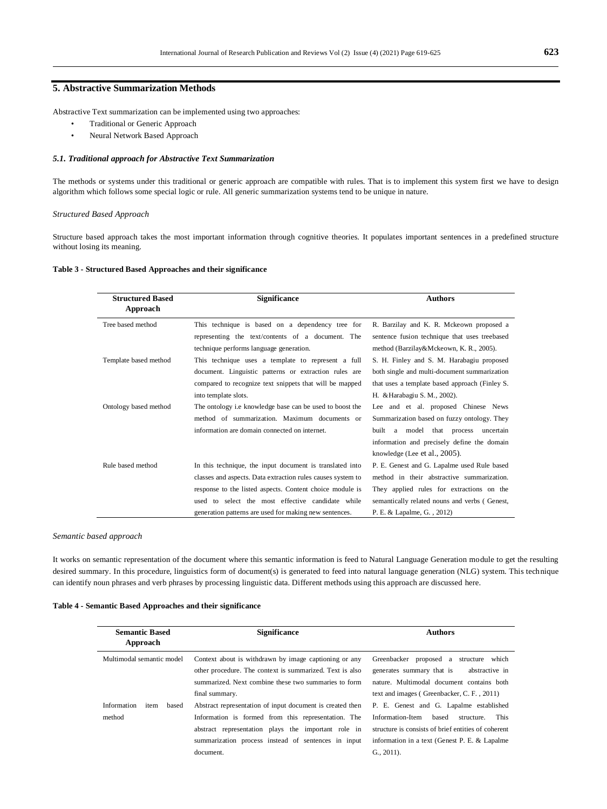# **5. Abstractive Summarization Methods**

Abstractive Text summarization can be implemented using two approaches:

- Traditional or Generic Approach
- Neural Network Based Approach

# *5.1. Traditional approach for Abstractive Text Summarization*

The methods or systems under this traditional or generic approach are compatible with rules. That is to implement this system first we have to design algorithm which follows some special logic or rule. All generic summarization systems tend to be unique in nature.

#### *Structured Based Approach*

Structure based approach takes the most important information through cognitive theories. It populates important sentences in a predefined structure without losing its meaning.

# **Table 3 - Structured Based Approaches and their significance**

| <b>Structured Based</b><br>Approach | <b>Significance</b>                                                                                                                                                                                                                                                                                | <b>Authors</b>                                                                                                                                                                                                        |
|-------------------------------------|----------------------------------------------------------------------------------------------------------------------------------------------------------------------------------------------------------------------------------------------------------------------------------------------------|-----------------------------------------------------------------------------------------------------------------------------------------------------------------------------------------------------------------------|
| Tree based method                   | This technique is based on a dependency tree for<br>representing the text/contents of a document. The<br>technique performs language generation.                                                                                                                                                   | R. Barzilay and K. R. Mckeown proposed a<br>sentence fusion technique that uses treebased<br>method (Barzilay&Mckeown, K. R., 2005).                                                                                  |
| Template based method               | This technique uses a template to represent a full<br>document. Linguistic patterns or extraction rules are<br>compared to recognize text snippets that will be mapped<br>into template slots.                                                                                                     | S. H. Finley and S. M. Harabagiu proposed<br>both single and multi-document summarization<br>that uses a template based approach (Finley S.<br>H. & Harabagiu S. M., 2002).                                           |
| Ontology based method               | The ontology i.e knowledge base can be used to boost the<br>method of summarization. Maximum documents or<br>information are domain connected on internet.                                                                                                                                         | Lee and et al. proposed Chinese News<br>Summarization based on fuzzy ontology. They<br>built a model that process<br>uncertain<br>information and precisely define the domain<br>knowledge (Lee et al., $2005$ ).     |
| Rule based method                   | In this technique, the input document is translated into<br>classes and aspects. Data extraction rules causes system to<br>response to the listed aspects. Content choice module is<br>used to select the most effective candidate while<br>generation patterns are used for making new sentences. | P. E. Genest and G. Lapalme used Rule based<br>method in their abstractive summarization.<br>They applied rules for extractions on the<br>semantically related nouns and verbs (Genest,<br>P. E. & Lapalme, G., 2012) |

#### *Semantic based approach*

It works on semantic representation of the document where this semantic information is feed to Natural Language Generation module to get the resulting desired summary. In this procedure, linguistics form of document(s) is generated to feed into natural language generation (NLG) system. This technique can identify noun phrases and verb phrases by processing linguistic data. Different methods using this approach are discussed here.

# **Table 4 - Semantic Based Approaches and their significance**

| <b>Semantic Based</b><br>Approach      | <b>Significance</b>                                                                                                                                                                                                                         | <b>Authors</b>                                                                                                                                                                                                               |
|----------------------------------------|---------------------------------------------------------------------------------------------------------------------------------------------------------------------------------------------------------------------------------------------|------------------------------------------------------------------------------------------------------------------------------------------------------------------------------------------------------------------------------|
| Multimodal semantic model              | Context about is withdrawn by image captioning or any<br>other procedure. The context is summarized. Text is also<br>summarized. Next combine these two summaries to form<br>final summary.                                                 | Greenbacker proposed a structure which<br>generates summary that is<br>abstractive in<br>nature. Multimodal document contains both<br>text and images (Greenbacker, C.F., 2011)                                              |
| Information<br>based<br>item<br>method | Abstract representation of input document is created then<br>Information is formed from this representation. The<br>abstract representation plays the important role in<br>summarization process instead of sentences in input<br>document. | P. E. Genest and G. Lapalme established<br>Information-Item<br><b>This</b><br>based<br>structure.<br>structure is consists of brief entities of coherent<br>information in a text (Genest P. E. & Lapalme<br>$G_{1}, 2011$ . |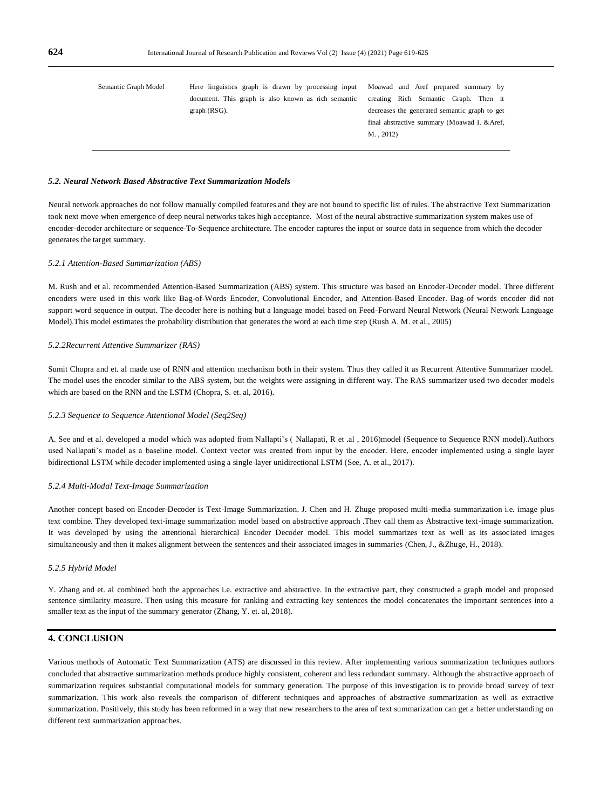| Semantic Graph Model | Here linguistics graph is drawn by processing input Moawad and Aref prepared summary by |                                               |
|----------------------|-----------------------------------------------------------------------------------------|-----------------------------------------------|
|                      | document. This graph is also known as rich semantic                                     | creating Rich Semantic Graph. Then it         |
|                      | graph (RSG).                                                                            | decreases the generated semantic graph to get |
|                      |                                                                                         | final abstractive summary (Moawad I. & Aref,  |
|                      |                                                                                         | $M.$ , 2012)                                  |
|                      |                                                                                         |                                               |
|                      |                                                                                         |                                               |

#### *5.2. Neural Network Based Abstractive Text Summarization Models*

Neural network approaches do not follow manually compiled features and they are not bound to specific list of rules. The abstractive Text Summarization took next move when emergence of deep neural networks takes high acceptance. Most of the neural abstractive summarization system makes use of encoder-decoder architecture or sequence-To-Sequence architecture. The encoder captures the input or source data in sequence from which the decoder generates the target summary.

#### *5.2.1 Attention-Based Summarization (ABS)*

M. Rush and et al. recommended Attention-Based Summarization (ABS) system. This structure was based on Encoder-Decoder model. Three different encoders were used in this work like Bag-of-Words Encoder, Convolutional Encoder, and Attention-Based Encoder. Bag-of words encoder did not support word sequence in output. The decoder here is nothing but a language model based on Feed-Forward Neural Network (Neural Network Language Model).This model estimates the probability distribution that generates the word at each time step (Rush A. M. et al., 2005)

# *5.2.2Recurrent Attentive Summarizer (RAS)*

Sumit Chopra and et. al made use of RNN and attention mechanism both in their system. Thus they called it as Recurrent Attentive Summarizer model. The model uses the encoder similar to the ABS system, but the weights were assigning in different way. The RAS summarizer used two decoder models which are based on the RNN and the LSTM (Chopra, S. et. al, 2016).

# *5.2.3 Sequence to Sequence Attentional Model (Seq2Seq)*

A. See and et al. developed a model which was adopted from Nallapti's ( Nallapati, R et .al , 2016)model (Sequence to Sequence RNN model).Authors used Nallapati's model as a baseline model. Context vector was created from input by the encoder. Here, encoder implemented using a single layer bidirectional LSTM while decoder implemented using a single-layer unidirectional LSTM (See, A. et al., 2017).

#### *5.2.4 Multi-Modal Text-Image Summarization*

Another concept based on Encoder-Decoder is Text-Image Summarization. J. Chen and H. Zhuge proposed multi-media summarization i.e. image plus text combine. They developed text-image summarization model based on abstractive approach .They call them as Abstractive text-image summarization. It was developed by using the attentional hierarchical Encoder Decoder model. This model summarizes text as well as its associated images simultaneously and then it makes alignment between the sentences and their associated images in summaries (Chen, J., &Zhuge, H., 2018).

#### *5.2.5 Hybrid Model*

Y. Zhang and et. al combined both the approaches i.e. extractive and abstractive. In the extractive part, they constructed a graph model and proposed sentence similarity measure. Then using this measure for ranking and extracting key sentences the model concatenates the important sentences into a smaller text as the input of the summary generator (Zhang, Y. et. al, 2018).

# **4. CONCLUSION**

Various methods of Automatic Text Summarization (ATS) are discussed in this review. After implementing various summarization techniques authors concluded that abstractive summarization methods produce highly consistent, coherent and less redundant summary. Although the abstractive approach of summarization requires substantial computational models for summary generation. The purpose of this investigation is to provide broad survey of text summarization. This work also reveals the comparison of different techniques and approaches of abstractive summarization as well as extractive summarization. Positively, this study has been reformed in a way that new researchers to the area of text summarization can get a better understanding on different text summarization approaches.